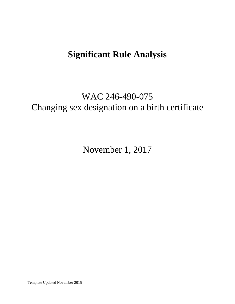# **Significant Rule Analysis**

# WAC 246-490-075 Changing sex designation on a birth certificate

November 1, 2017

Template Updated November 2015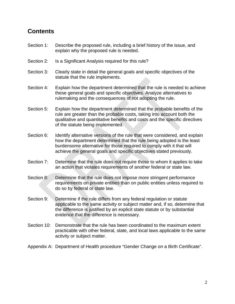### **Contents**

- Section 1: Describe the proposed rule, including a brief history of the issue, and explain why the proposed rule is needed.
- Section 2: Is a Significant Analysis required for this rule?
- Section 3: Clearly state in detail the general goals and specific objectives of the statute that the rule implements.
- Section 4: Explain how the department determined that the rule is needed to achieve these general goals and specific objectives. Analyze alternatives to rulemaking and the consequences of not adopting the rule.
- Section 5: Explain how the department determined that the probable benefits of the rule are greater than the probable costs, taking into account both the qualitative and quantitative benefits and costs and the specific directives of the statute being implemented.
- Section 6: Identify alternative versions of the rule that were considered, and explain how the department determined that the rule being adopted is the least burdensome alternative for those required to comply with it that will achieve the general goals and specific objectives stated previously.
- Section 7: Determine that the rule does not require those to whom it applies to take an action that violates requirements of another federal or state law.
- Section 8: Determine that the rule does not impose more stringent performance requirements on private entities than on public entities unless required to do so by federal or state law.
- Section 9: Determine if the rule differs from any federal regulation or statute applicable to the same activity or subject matter and, if so, determine that the difference is justified by an explicit state statute or by substantial evidence that the difference is necessary.
- Section 10: Demonstrate that the rule has been coordinated to the maximum extent practicable with other federal, state, and local laws applicable to the same activity or subject matter.
- Appendix A: Department of Health procedure "Gender Change on a Birth Certificate".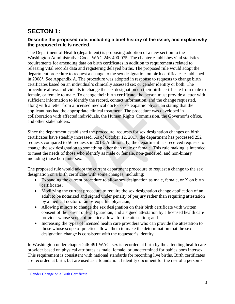# **SECTON 1:**

### **Describe the proposed rule, including a brief history of the issue, and explain why the proposed rule is needed.**

The Department of Health (department) is proposing adoption of a new section to the Washington Administrative Code, WAC 246-490-075. The chapter establishes vital statistics requirements for amending data on birth certificates in addition to requirements related to releasing vital records data and registering delayed births. The proposed rule would adopt the department procedure to request a change to the sex designation on birth certificates established in  $2008<sup>1</sup>$  $2008<sup>1</sup>$  $2008<sup>1</sup>$ . See Appendix A. The procedure was adopted in response to requests to change birth certificates based on an individual's clinically assessed sex or gender identity or both. The procedure allows individuals to change the sex designation on their birth certificate from male to female, or female to male. To change their birth certificate, the person must provide a letter with sufficient information to identify the record, contact information, and the change requested, along with a letter from a licensed medical doctor or osteopathic physician stating that the applicant has had the appropriate clinical treatment. The procedure was developed in collaboration with affected individuals, the Human Rights Commission, the Governor's office, and other stakeholders.

Since the department established the procedure, requests for sex designation changes on birth certificates have steadily increased. As of October 12, 2017, the department has processed 252 requests compared to 56 requests in 2013. Additionally, the department has received requests to change the sex designation to something other than male or female. This rule making is intended to meet the needs of those who identify as male or female, non-gendered, and non-binary including those born intersex.

The proposed rule would adopt the current department procedure to request a change to the sex designation on a birth certificate with some changes, including:

- Expanding the current procedure to allow sex designation as male, female, or X on birth certificates;
- Modifying the current procedure to require the sex designation change application of an adult to be notarized and signed under penalty of perjury rather than requiring attestation by a medical doctor or an osteopathic physician;
- Allowing minors to change the sex designation on their birth certificate with written consent of the parent or legal guardian, and a signed attestation by a licensed health care provider whose scope of practice allows for the attestation; and
- Increasing the types of licensed health care providers who can provide the attestation to those whose scope of practice allows them to make the determination that the sex designation change is consistent with the requestor's identity.

In Washington under chapter 246-491 WAC, sex is recorded at birth by the attending health care provider based on physical attributes as male, female, or undetermined for babies born intersex. This requirement is consistent with national standards for recording live births. Birth certificates are recorded at birth, but are used as a foundational identity document for the rest of a person's

<span id="page-2-0"></span><sup>&</sup>lt;sup>1</sup> [Gender Change on a Birth Certificate](https://www.doh.wa.gov/LicensesPermitsandCertificates/BirthDeathMarriageandDivorce/GenderChange)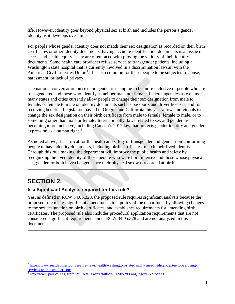life. However, identity goes beyond physical sex at birth and includes the person's gender identity as it develops over time.

For people whose gender identity does not match their sex designation as recorded on their birth certificates or other identity documents, having accurate identification documents is an issue of access and health equity. They are often faced with proving the validity of their identity documents. Some health care providers refuse service to transgender patients, including a Washington state hospital that is currently involved in a discrimination lawsuit with the American Civil Liberties Union<sup>[2](#page-3-0)</sup>. It is also common for these people to be subjected to abuse, harassment, or lack of privacy.

The national conversation on sex and gender is changing to be more inclusive of people who are transgendered and those who identify as neither male nor female. Federal agencies as well as many states and cities currently allow people to change their sex designation from male to female, or female to male on identity documents such as passports and driver licenses, and for receiving benefits. Legislation passed in Oregon and California this year allows individuals to change the sex designation on their birth certificate from male to female, female to male, or to something other than male or female. Internationally, laws related to sex and gender are becoming more inclusive, including Canada's 2017 law that protects gender identity and gender expression as a human right. $3$ 

As noted above, it is critical for the health and safety of transgender and gender non-conforming people to have identity documents, including birth certificates, match their lived identity. Through this rule making, the department will improve the public health and safety by recognizing the lived identity of those people who were born intersex and those whose physical sex, gender, or both have changed since their physical sex was recorded at birth.

## **SECTION 2:**

### **Is a Significant Analysis required for this rule?**

Yes, as defined in RCW 34.05.328, the proposed rule requires significant analysis because the proposed rule makes significant amendments to a policy of the department by allowing changes to the sex designation on birth certificates, and establishes requirements for amending birth certificates. The proposed rule also includes procedural application requirements that are not considered significant requirements under RCW 34.05.328 and are not analyzed in this document.

<span id="page-3-0"></span> <sup>2</sup> [https://www.seattletimes.com/seattle-news/health/washington-state-family-sues-medical-center-for-refusing](https://www.seattletimes.com/seattle-news/health/washington-state-family-sues-medical-center-for-refusing-services-to-transgender-son/)[services-to-transgender-son/](https://www.seattletimes.com/seattle-news/health/washington-state-family-sues-medical-center-for-refusing-services-to-transgender-son/)

<span id="page-3-1"></span><sup>&</sup>lt;sup>3</sup> <http://www.parl.ca/LegisInfo/BillDetails.aspx?billId=8269852&Language=E&Mode=1>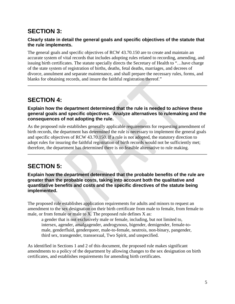## **SECTION 3:**

### **Clearly state in detail the general goals and specific objectives of the statute that the rule implements.**

The general goals and specific objectives of RCW 43.70.150 are to create and maintain an accurate system of vital records that includes adopting rules related to recording, amending, and issuing birth certificates. The statute specially directs the Secretary of Health to "…have charge of the state system of registration of births, deaths, fetal deaths, marriages, and decrees of divorce, annulment and separate maintenance, and shall prepare the necessary rules, forms, and blanks for obtaining records, and insure the faithful registration thereof."

### **SECTION 4:**

#### **Explain how the department determined that the rule is needed to achieve these general goals and specific objectives. Analyze alternatives to rulemaking and the consequences of not adopting the rule.**

As the proposed rule establishes generally applicable requirements for requesting amendment of birth records, the department has determined the rule is necessary to implement the general goals and specific objectives of RCW 43.70.150. If a rule is not adopted, the statutory direction to adopt rules for insuring the faithful registration of birth records would not be sufficiently met; therefore, the department has determined there is no feasible alternative to rule making.

## **SECTION 5:**

**Explain how the department determined that the probable benefits of the rule are greater than the probable costs, taking into account both the qualitative and quantitative benefits and costs and the specific directives of the statute being implemented.**

The proposed rule establishes application requirements for adults and minors to request an amendment to the sex designation on their birth certificate from male to female, from female to male, or from female or male to X. The proposed rule defines X as:

a gender that is not exclusively male or female, including, but not limited to, intersex, agender, amalgagender, androgynous, bigender, demigender, female-tomale, genderfluid, genderqueer, male-to-female, neutrois, non-binary, pangender, third sex, transgender, transsexual, Two Spirit, and unspecified.

As identified in Sections 1 and 2 of this document, the proposed rule makes significant amendments to a policy of the department by allowing changes to the sex designation on birth certificates, and establishes requirements for amending birth certificates.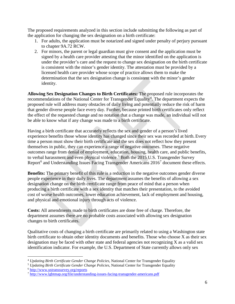The proposed requirements analyzed in this section include submitting the following as part of the application for changing the sex designation on a birth certificate:

- 1. For adults, the application must be notarized and signed under penalty of perjury pursuant to chapter 9A.72 RCW.
- 2. For minors, the parent or legal guardian must give consent and the application must be signed by a health care provider attesting that the minor identified on the application is under the provider's care and the request to change sex designation on the birth certificate is consistent with the minor's gender identity. The attestation must be provided by a licensed health care provider whose scope of practice allows them to make the determination that the sex designation change is consistent with the minor's gender identity.

**Allowing Sex Designation Changes to Birth Certificates:** The proposed rule incorporates the recommendations of the National Center for Transgender Equality<sup>[4](#page-5-0)</sup>. The department expects the proposed rule will address many obstacles of daily living and potentially reduce the risk of harm that gender diverse people face every day. Further, because printed birth certificates only reflect the effect of the requested change and no notation that a change was made, an individual will not be able to know what if any change was made to a birth certificate.

Having a birth certificate that accurately reflects the sex and gender of a person's lived experience benefits those whose identity has changed since their sex was recorded at birth. Every time a person must show their birth certificate and the sex does not reflect how they present themselves in public, they can experience a range of negative outcomes. These negative outcomes range from denial of employment, education, housing, health care, and public benefits, to verbal harassment and even physical violence.<sup>[5](#page-5-1)</sup> Both the 2015 U.S. Transgender Survey Report<sup>[6](#page-5-2)</sup> and Understanding Issues Facing Transgender Americans  $2016<sup>7</sup>$  $2016<sup>7</sup>$  $2016<sup>7</sup>$  document these effects.

**Benefits:** The primary benefit of this rule is a reduction in the negative outcomes gender diverse people experience in their daily lives. The department assumes the benefits of allowing a sex designation change on the birth certificate range from peace of mind that a person when producing a birth certificate with a sex identity that matches their presentation, to the avoided cost of worse health outcomes, lower education achievement, lack of employment and housing, and physical and emotional injury through acts of violence.

**Costs:** All amendments made to birth certificates are done free of charge. Therefore, the department assumes there are no probable costs associated with allowing sex designation changes to birth certificates.

Qualitative costs of changing a birth certificate are primarily related to using a Washington state birth certificate to obtain other identity documents and benefits. Those who choose X as their sex designation may be faced with other state and federal agencies not recognizing X as a valid sex identification indicator. For example, the U.S. Department of State currently allows only sex

<span id="page-5-0"></span> <sup>4</sup> *Updating Birth Certificate Gender Change Policies*, National Center for Transgender Equality

<span id="page-5-1"></span><sup>5</sup> *Updating Birth Certificate Gender Change Policies*, National Center for Transgender Equality

<span id="page-5-2"></span><sup>6</sup> <http://www.ustranssurvey.org/reports>

<span id="page-5-3"></span><sup>7</sup> <http://www.lgbtmap.org/file/understanding-issues-facing-transgender-americans.pdf>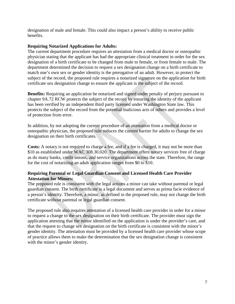designation of male and female. This could also impact a person's ability to receive public benefits.

#### **Requiring Notarized Applications for Adults:**

The current department procedure requires an attestation from a medical doctor or osteopathic physician stating that the applicant has had the appropriate clinical treatment in order for the sex designation of a birth certificate to be changed from male to female, or from female to male. The department determined the decision to request a sex designation change on a birth certificate to match one's own sex or gender identity is the prerogative of an adult. However, to protect the subject of the record, the proposed rule requires a notarized signature on the application for birth certificate sex designation change to ensure the applicant is the subject of the record.

**Benefits:** Requiring an application be notarized and signed under penalty of perjury pursuant to chapter 9A.72 RCW protects the subject of the record by ensuring the identity of the applicant has been verified by an independent third party licensed under Washington State law. This protects the subject of the record from the potential malicious acts of others and provides a level of protection from error.

In addition, by not adopting the current procedure of an attestation from a medical doctor or osteopathic physician, the proposed rule reduces the current barrier for adults to change the sex designation on their birth certificates.

**Costs:** A notary is not required to charge a fee, and if a fee is charged, it may not be more than \$10 as established under WAC 308.30.020. The department offers notary services free of charge as do many banks, credit unions, and service organizations across the state. Therefore, the range for the cost of notarizing an adult application ranges from \$0 to \$10.

#### **Requiring Parental or Legal Guardian Consent and Licensed Health Care Provider Attestation for Minors:**

The proposed rule is consistent with the legal actions a minor can take without parental or legal guardian consent. The birth certificate is a legal document and serves as prima facie evidence of a person's identity. Therefore, a minor, as defined in the proposed rule, may not change the birth certificate without parental or legal guardian consent.

The proposed rule also requires attestation of a licensed health care provider in order for a minor to request a change to the sex designation on their birth certificate. The provider must sign the application attesting that the minor identified on the application is under the provider's care, and that the request to change sex designation on the birth certificate is consistent with the minor's gender identity. The attestation must be provided by a licensed health care provider whose scope of practice allows them to make the determination that the sex designation change is consistent with the minor's gender identity.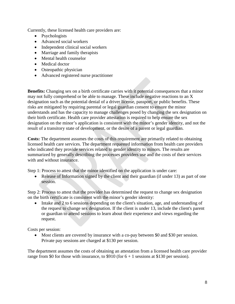Currently, these licensed health care providers are:

- Psychologists
- Advanced social workers
- Independent clinical social workers
- Marriage and family therapists
- Mental health counselor
- Medical doctor
- Osteopathic physician
- Advanced registered nurse practitioner

**Benefits:** Changing sex on a birth certificate carries with it potential consequences that a minor may not fully comprehend or be able to manage. These include negative reactions to an X designation such as the potential denial of a driver license, passport, or public benefits. These risks are mitigated by requiring parental or legal guardian consent to ensure the minor understands and has the capacity to manage challenges posed by changing the sex designation on their birth certificate. Health care provider attestation is required to help ensure the sex designation on the minor's application is consistent with the minor's gender identity, and not the result of a transitory state of development, or the desire of a parent or legal guardian.

**Costs:** The department assumes the costs of this requirement are primarily related to obtaining licensed health care services. The department requested information from health care providers who indicated they provide services related to gender identity to minors. The results are summarized by generally describing the processes providers use and the costs of their services with and without insurance.

Step 1: Process to attest that the minor identified on the application is under care:

• Release of Information signed by the client and their guardian (if under 13) as part of one session.

Step 2: Process to attest that the provider has determined the request to change sex designation on the birth certificate is consistent with the minor's gender identity:

• Intake and 2 to 6 sessions depending on the client's situation, age, and understanding of the request to change sex designation. If the client is under 13, include the client's parent or guardian to attend sessions to learn about their experience and views regarding the request.

Costs per session:

• Most clients are covered by insurance with a co-pay between \$0 and \$30 per session. Private pay sessions are charged at \$130 per session.

The department assumes the costs of obtaining an attestation from a licensed health care provider range from \$0 for those with insurance, to \$910 (for  $6 + 1$  sessions at \$130 per session).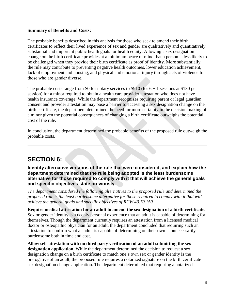#### **Summary of Benefits and Costs:**

The probable benefits described in this analysis for those who seek to amend their birth certificates to reflect their lived experience of sex and gender are qualitatively and quantitatively substantial and important public health goals for health equity. Allowing a sex designation change on the birth certificate provides at a minimum peace of mind that a person is less likely to be challenged when they provide their birth certificate as proof of identity. More substantially, the rule may contribute to preventing negative health outcomes, lower education achievement, lack of employment and housing, and physical and emotional injury through acts of violence for those who are gender diverse.

The probable costs range from \$0 for notary services to \$910 (for  $6 + 1$  sessions at \$130 per session) for a minor required to obtain a health care provider attestation who does not have health insurance coverage. While the department recognizes requiring parent or legal guardian consent and provider attestation may pose a barrier to accessing a sex designation change on the birth certificate, the department determined the need for more certainty in the decision making of a minor given the potential consequences of changing a birth certificate outweighs the potential cost of the rule.

In conclusion, the department determined the probable benefits of the proposed rule outweigh the probable costs.

## **SECTION 6:**

**Identify alternative versions of the rule that were considered, and explain how the department determined that the rule being adopted is the least burdensome alternative for those required to comply with it that will achieve the general goals and specific objectives state previously.**

*The department considered the following alternatives to the proposed rule and determined the proposed rule is the least burdensome alternative for those required to comply with it that will achieve the general goals and specific objectives of RCW 43.70.150.*

**Require medical attestation for an adult to amend the sex designation of a birth certificate.**  Sex or gender identity is a deeply personal experience that an adult is capable of determining for themselves. Though the department currently requires an attestation from a licensed medical doctor or osteopathic physician for an adult, the department concluded that requiring such an attestation to confirm what an adult is capable of determining on their own is unnecessarily burdensome both in time and cost.

**Allow self-attestation with no third party verification of an adult submitting the sex designation application.** While the department determined the decision to request a sex designation change on a birth certificate to match one's own sex or gender identity is the prerogative of an adult, the proposed rule requires a notarized signature on the birth certificate sex designation change application. The department determined that requiring a notarized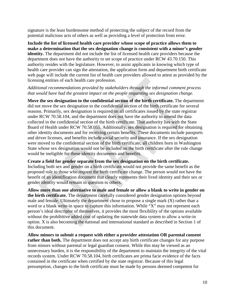signature is the least burdensome method of protecting the subject of the record from the potential malicious acts of others as well as providing a level of protection from error.

**Include the list of licensed health care provider whose scope of practice allows them to make a determination that the sex designation change is consistent with a minor's gender identity.** The department did not include the list of licensed health care providers because the department does not have the authority to set scope of practice under RCW 43.70.150. This authority resides with the legislature. However, to assist applicants in knowing which type of health care provider can sign the attestation, the application form and department birth certificate web page will include the current list of health care providers allowed to attest as provided by the licensing entities of each health care profession.

#### *Additional recommendations provided by stakeholders through the informal comment process that would have had the greatest impact on the people requesting sex designation change.*

**Move the sex designation to the confidential section of the birth certificate.** The department did not move the sex designation to the confidential section of the birth certificate for several reasons. Primarily, sex designation is required on all certificates issued by the state registrar under RCW 70.58.104, and the department does not have the authority to amend the data collected in the confidential section of the birth certificate. That authority lies with the State Board of Health under RCW 70.58.055. Additionally, sex designation is required for obtaining other identity documents and for receiving certain benefits. These documents include passports and driver licenses, and benefits include social security and insurance. If the sex designation were moved to the confidential section of the birth certificate, all children born in Washington State whose sex designation would not be included on the birth certificate after the rule change would be ineligible for these identity documents and benefits.

**Create a field for gender separate from the sex designation on the birth certificate.** Including both sex and gender on a birth certificate would not provide the same benefit as the proposed rule to those who request the birth certificate change. The person would not have the benefit of an identification document that clearly represents their lived identity and their sex or gender identity would remain in question to others.

**Allow more than one alternative to male and female or allow a blank to write in gender on the birth certificate.** The department carefully considered gender designation options beyond male and female. Ultimately the department chose to propose a single mark (X) rather than a word or a blank write-in space to capture this information. While "X" may not represent each person's ideal descriptor of themselves, it provides the most flexibility of the options available without the prohibitive added cost of updating the statewide data system to allow a write-in option. X is also becoming the national and international standard as described in Section 1 of this document.

**Allow minors to submit a request with either a provider attestation OR parental consent**  rather than both. The department does not accept any birth certificate changes for any purpose from minors without parental or legal guardian consent. While this may be viewed as an unnecessary burden, it is the responsibility of the department to maintain the integrity of the vital records system. Under RCW 70.58.104, birth certificates are prima facie evidence of the facts contained in the certificate when certified by the state registrar. Because of this legal presumption, changes to the birth certificate must be made by persons deemed competent for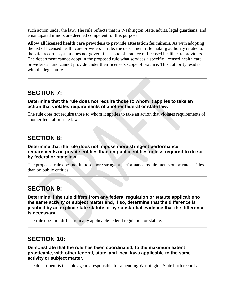such action under the law. The rule reflects that in Washington State, adults, legal guardians, and emancipated minors are deemed competent for this purpose.

**Allow all licensed health care providers to provide attestation for minors.** As with adopting the list of licensed health care providers in rule, the department rule making authority related to the vital records system does not govern the scope of practice of licensed health care providers. The department cannot adopt in the proposed rule what services a specific licensed health care provider can and cannot provide under their license's scope of practice. This authority resides with the legislature.

### **SECTION 7:**

**Determine that the rule does not require those to whom it applies to take an action that violates requirements of another federal or state law.** 

The rule does not require those to whom it applies to take an action that violates requirements of another federal or state law.

### **SECTION 8:**

**Determine that the rule does not impose more stringent performance requirements on private entities than on public entities unless required to do so by federal or state law.**

The proposed rule does not impose more stringent performance requirements on private entities than on public entities.

## **SECTION 9:**

**Determine if the rule differs from any federal regulation or statute applicable to the same activity or subject matter and, if so, determine that the difference is justified by an explicit state statute or by substantial evidence that the difference is necessary.**

The rule does not differ from any applicable federal regulation or statute.

### **SECTION 10:**

**Demonstrate that the rule has been coordinated, to the maximum extent practicable, with other federal, state, and local laws applicable to the same activity or subject matter.**

The department is the sole agency responsible for amending Washington State birth records.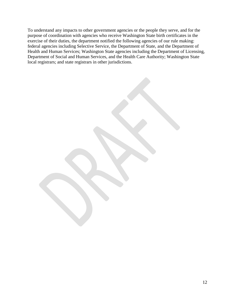To understand any impacts to other government agencies or the people they serve, and for the purpose of coordination with agencies who receive Washington State birth certificates in the exercise of their duties, the department notified the following agencies of our rule making: federal agencies including Selective Service, the Department of State, and the Department of Health and Human Services; Washington State agencies including the Department of Licensing, Department of Social and Human Services, and the Health Care Authority; Washington State local registrars; and state registrars in other jurisdictions.